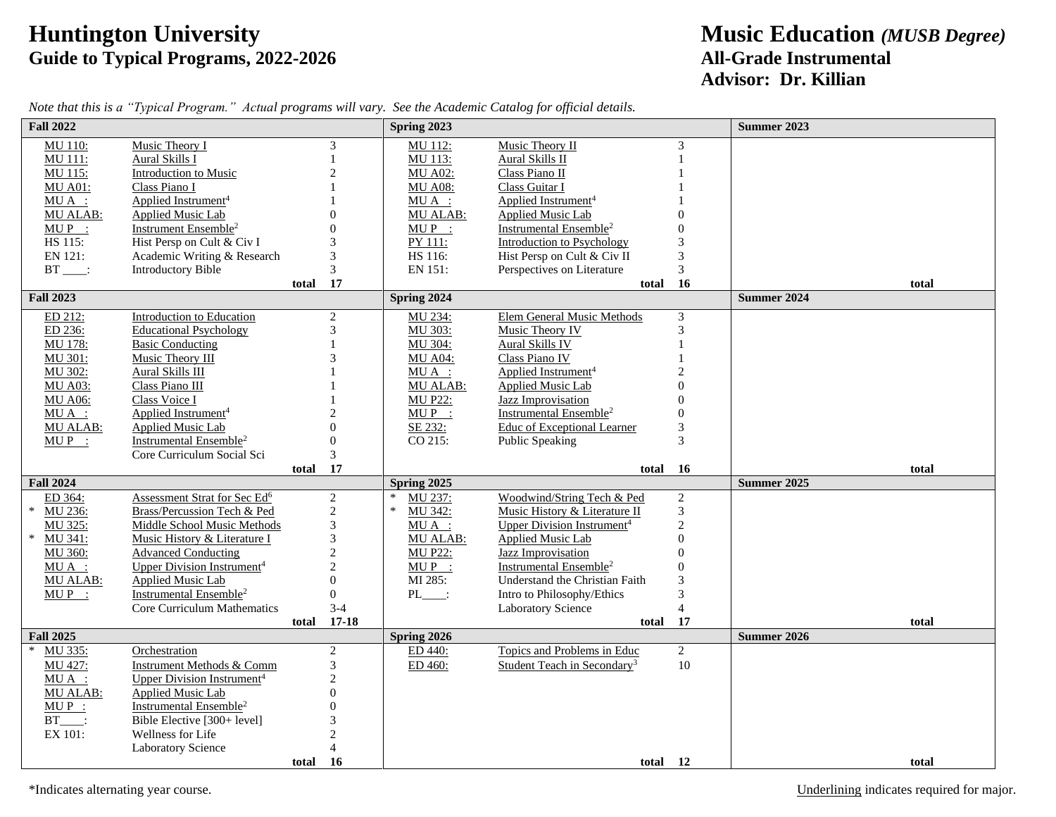## **Huntington University**<br> **Guide to Typical Programs, 2022-2026**<br> **All-Grade Instrumental** Guide to Typical Programs, 2022-2026

## **Advisor: Dr. Killian**

| <b>Fall 2022</b>   |                                                          |       |                                       | Spring 2023                 |                                               |                             | <b>Summer 2023</b>          |
|--------------------|----------------------------------------------------------|-------|---------------------------------------|-----------------------------|-----------------------------------------------|-----------------------------|-----------------------------|
| MU 110:            | Music Theory I                                           |       | 3                                     | MU 112:                     | Music Theory II                               | 3                           |                             |
| MU 111:            | Aural Skills I                                           |       |                                       | MU 113:                     | Aural Skills II                               |                             |                             |
| MU 115:            | Introduction to Music                                    |       | $\overline{2}$                        | <b>MU A02:</b>              | Class Piano II                                |                             |                             |
| <b>MU A01:</b>     | Class Piano I                                            |       |                                       | <b>MU A08:</b>              | Class Guitar I                                |                             |                             |
| $MU A$ :           | Applied Instrument <sup>4</sup>                          |       |                                       | $MU A$ :                    | Applied Instrument <sup>4</sup>               |                             |                             |
| <b>MU ALAB:</b>    | Applied Music Lab                                        |       | $\Omega$                              | <b>MU ALAB:</b>             | <b>Applied Music Lab</b>                      | $\Omega$                    |                             |
| $MUP$ :            | Instrument Ensemble <sup>2</sup>                         |       | $\theta$                              | $MUP$ :                     | Instrumental Ensemble <sup>2</sup>            | $\Omega$                    |                             |
| HS 115:            | Hist Persp on Cult & Civ I                               |       | 3                                     | PY 111:                     | <b>Introduction to Psychology</b>             | 3                           |                             |
| EN 121:            | Academic Writing & Research                              |       | $\mathfrak{Z}$                        | HS 116:                     | Hist Persp on Cult & Civ II                   | $\ensuremath{\mathfrak{Z}}$ |                             |
| $BT$ :             | <b>Introductory Bible</b>                                |       | 3                                     | EN 151:                     | Perspectives on Literature                    | 3                           |                             |
| <b>Fall 2023</b>   |                                                          | total | 17                                    | Spring 2024                 | total                                         | 16                          | total<br><b>Summer 2024</b> |
|                    |                                                          |       |                                       |                             |                                               |                             |                             |
| ED 212:            | <b>Introduction to Education</b>                         |       | $\sqrt{2}$                            | MU 234:                     | <b>Elem General Music Methods</b>             | $\mathfrak{Z}$              |                             |
| ED 236:<br>MU 178: | <b>Educational Psychology</b><br><b>Basic Conducting</b> |       | 3                                     | MU 303:<br>MU 304:          | Music Theory IV                               | $\mathfrak{Z}$              |                             |
|                    |                                                          |       |                                       |                             | <b>Aural Skills IV</b><br>Class Piano IV      |                             |                             |
| MU 301:<br>MU 302: | Music Theory III<br><b>Aural Skills III</b>              |       |                                       | <b>MU A04:</b>              | Applied Instrument <sup>4</sup>               | $\mathcal{D}$               |                             |
| <b>MU A03:</b>     | Class Piano III                                          |       |                                       | $MU A$ :<br><b>MU ALAB:</b> | <b>Applied Music Lab</b>                      | $\Omega$                    |                             |
| <b>MU A06:</b>     | Class Voice I                                            |       |                                       | <b>MU P22:</b>              | Jazz Improvisation                            | $\overline{0}$              |                             |
| $MU A$ :           | Applied Instrument <sup>4</sup>                          |       | $\overline{2}$                        | $MUP$ :                     | Instrumental Ensemble <sup>2</sup>            | $\mathbf{0}$                |                             |
| MU ALAB:           | Applied Music Lab                                        |       | $\Omega$                              | SE 232:                     | Educ of Exceptional Learner                   | $\ensuremath{\mathfrak{Z}}$ |                             |
| $MUP$ :            | Instrumental Ensemble <sup>2</sup>                       |       | $\theta$                              | CO 215:                     | Public Speaking                               | 3                           |                             |
|                    | Core Curriculum Social Sci                               |       | 3                                     |                             |                                               |                             |                             |
|                    |                                                          | total | 17                                    |                             | total                                         | 16                          | total                       |
| <b>Fall 2024</b>   |                                                          |       |                                       | <b>Spring 2025</b>          |                                               |                             | Summer 2025                 |
| ED 364:            | Assessment Strat for Sec Ed <sup>6</sup>                 |       | $\sqrt{2}$                            | MU 237:                     | Woodwind/String Tech & Ped                    | $\overline{c}$              |                             |
| $\ast$<br>MU 236:  | Brass/Percussion Tech & Ped                              |       |                                       | $\ast$<br>MU 342:           | Music History & Literature II                 | 3                           |                             |
| MU 325:            | Middle School Music Methods                              |       | $\begin{array}{c} 2 \\ 3 \end{array}$ | $MU A$ :                    | <b>Upper Division Instrument</b> <sup>4</sup> | $\overline{c}$              |                             |
| MU 341:<br>$\ast$  | Music History & Literature I                             |       | $\mathfrak{Z}$                        | MU ALAB:                    | Applied Music Lab                             | $\overline{0}$              |                             |
| MU 360:            | <b>Advanced Conducting</b>                               |       | $\sqrt{2}$                            | <b>MU P22:</b>              | <b>Jazz Improvisation</b>                     | $\boldsymbol{0}$            |                             |
| $MU A$ :           | <b>Upper Division Instrument</b> <sup>4</sup>            |       | $\overline{2}$                        | $MUP$ :                     | Instrumental Ensemble <sup>2</sup>            | $\boldsymbol{0}$            |                             |
| MU ALAB:           | Applied Music Lab                                        |       | $\Omega$                              | MI 285:                     | Understand the Christian Faith                | 3                           |                             |
| $MUP$ :            | Instrumental Ensemble <sup>2</sup>                       |       | $\theta$                              | $PL$ :                      | Intro to Philosophy/Ethics                    | 3                           |                             |
|                    | Core Curriculum Mathematics                              |       | $3-4$                                 |                             | Laboratory Science                            | $\overline{4}$              |                             |
|                    |                                                          | total | $17 - 18$                             |                             | total                                         | 17                          | total                       |
| <b>Fall 2025</b>   |                                                          |       |                                       | Spring 2026                 |                                               |                             | <b>Summer 2026</b>          |
| MU 335:<br>$\ast$  | Orchestration                                            |       | 2                                     | ED 440:                     | Topics and Problems in Educ                   | $\overline{2}$              |                             |
| MU 427:            | Instrument Methods & Comm                                |       | $\mathfrak{Z}$                        | ED 460:                     | Student Teach in Secondary <sup>3</sup>       | 10                          |                             |
| $MU A$ :           | Upper Division Instrument <sup>4</sup>                   |       | $\sqrt{2}$                            |                             |                                               |                             |                             |
| <b>MU ALAB:</b>    | <b>Applied Music Lab</b>                                 |       | $\overline{0}$                        |                             |                                               |                             |                             |
| $MUP$ :            | Instrumental Ensemble <sup>2</sup>                       |       | $\mathbf{0}$                          |                             |                                               |                             |                             |
| $BT$ :             | Bible Elective [300+ level]                              |       | 3                                     |                             |                                               |                             |                             |
| EX 101:            | Wellness for Life                                        |       | $\overline{c}$                        |                             |                                               |                             |                             |
|                    | Laboratory Science                                       |       | $\overline{\mathcal{A}}$              |                             |                                               |                             |                             |
|                    |                                                          | total | <b>16</b>                             |                             | total 12                                      |                             | total                       |

*Note that this is a "Typical Program." Actual programs will vary. See the Academic Catalog for official details.*

\*Indicates alternating year course. Underlining indicates required for major.